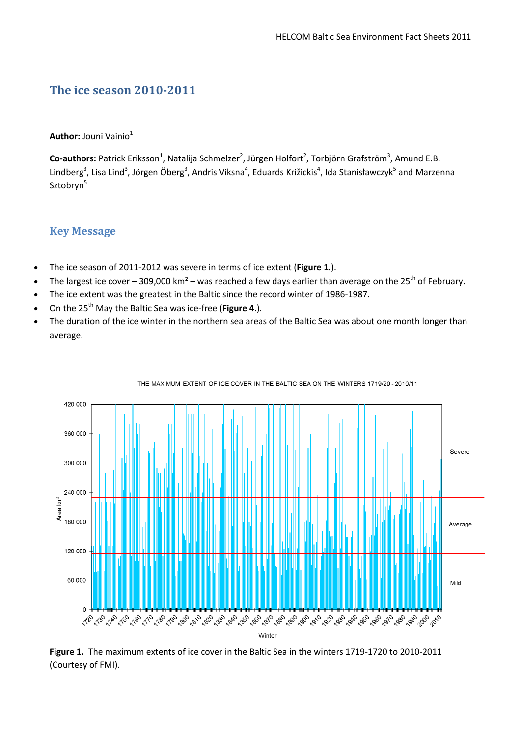# **The ice season 2010-2011**

**Author:** Jouni Vainio<sup>1</sup>

Co-authors: Patrick Eriksson<sup>1</sup>, Natalija Schmelzer<sup>2</sup>, Jürgen Holfort<sup>2</sup>, Torbjörn Grafström<sup>3</sup>, Amund E.B. Lindberg<sup>3</sup>, Lisa Lind<sup>3</sup>, Jörgen Öberg<sup>3</sup>, Andris Viksna<sup>4</sup>, Eduards Križickis<sup>4</sup>, Ida Stanisławczyk<sup>5</sup> and Marzenna Sztobryn<sup>5</sup>

### **Key Message**

- The ice season of 2011-2012 was severe in terms of ice extent (**Figure 1**.).
- The largest ice cover 309,000 km<sup>2</sup> was reached a few days earlier than average on the 25<sup>th</sup> of February.
- The ice extent was the greatest in the Baltic since the record winter of 1986-1987.
- On the 25<sup>th</sup> May the Baltic Sea was ice-free (Figure 4.).
- The duration of the ice winter in the northern sea areas of the Baltic Sea was about one month longer than average.



THE MAXIMUM EXTENT OF ICE COVER IN THE BALTIC SEA ON THE WINTERS 1719/20-2010/11

**Figure 1.** The maximum extents of ice cover in the Baltic Sea in the winters 1719-1720 to 2010-2011 (Courtesy of FMI).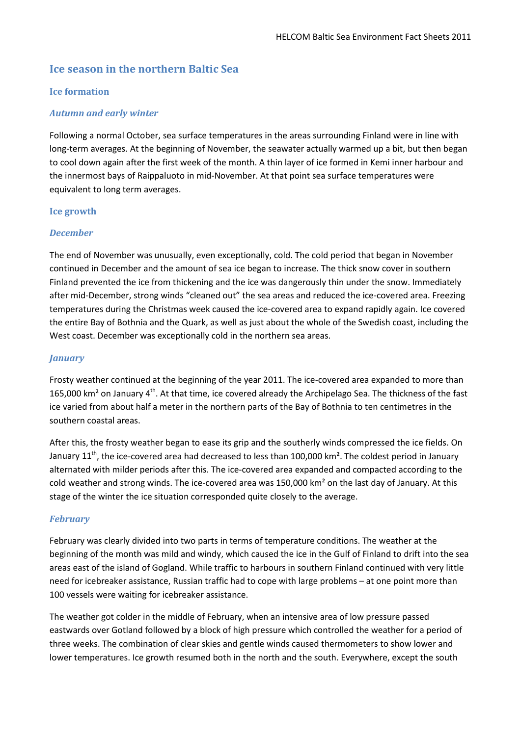# **Ice season in the northern Baltic Sea**

#### **Ice formation**

#### *Autumn and early winter*

Following a normal October, sea surface temperatures in the areas surrounding Finland were in line with long-term averages. At the beginning of November, the seawater actually warmed up a bit, but then began to cool down again after the first week of the month. A thin layer of ice formed in Kemi inner harbour and the innermost bays of Raippaluoto in mid-November. At that point sea surface temperatures were equivalent to long term averages.

#### **Ice growth**

#### *December*

The end of November was unusually, even exceptionally, cold. The cold period that began in November continued in December and the amount of sea ice began to increase. The thick snow cover in southern Finland prevented the ice from thickening and the ice was dangerously thin under the snow. Immediately after mid-December, strong winds "cleaned out" the sea areas and reduced the ice-covered area. Freezing temperatures during the Christmas week caused the ice-covered area to expand rapidly again. Ice covered the entire Bay of Bothnia and the Quark, as well as just about the whole of the Swedish coast, including the West coast. December was exceptionally cold in the northern sea areas.

#### *January*

Frosty weather continued at the beginning of the year 2011. The ice-covered area expanded to more than 165,000 km<sup>2</sup> on January 4<sup>th</sup>. At that time, ice covered already the Archipelago Sea. The thickness of the fast ice varied from about half a meter in the northern parts of the Bay of Bothnia to ten centimetres in the southern coastal areas.

After this, the frosty weather began to ease its grip and the southerly winds compressed the ice fields. On January 11<sup>th</sup>, the ice-covered area had decreased to less than 100,000 km<sup>2</sup>. The coldest period in January alternated with milder periods after this. The ice-covered area expanded and compacted according to the cold weather and strong winds. The ice-covered area was 150,000 km² on the last day of January. At this stage of the winter the ice situation corresponded quite closely to the average.

#### *February*

February was clearly divided into two parts in terms of temperature conditions. The weather at the beginning of the month was mild and windy, which caused the ice in the Gulf of Finland to drift into the sea areas east of the island of Gogland. While traffic to harbours in southern Finland continued with very little need for icebreaker assistance, Russian traffic had to cope with large problems – at one point more than 100 vessels were waiting for icebreaker assistance.

The weather got colder in the middle of February, when an intensive area of low pressure passed eastwards over Gotland followed by a block of high pressure which controlled the weather for a period of three weeks. The combination of clear skies and gentle winds caused thermometers to show lower and lower temperatures. Ice growth resumed both in the north and the south. Everywhere, except the south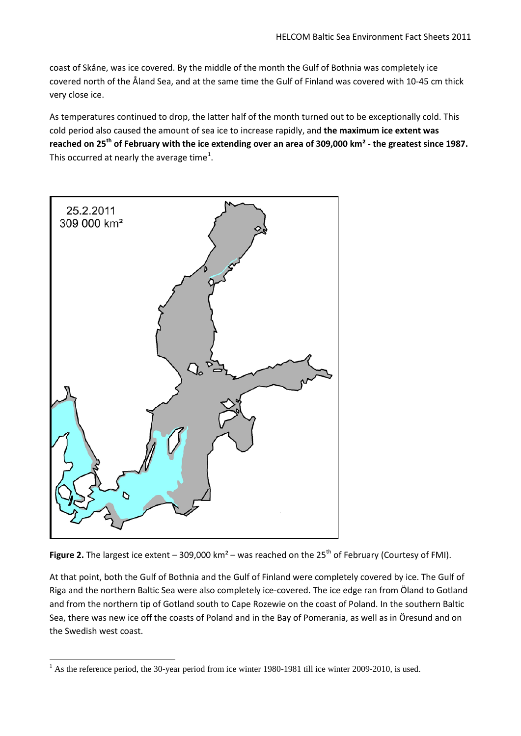coast of Skåne, was ice covered. By the middle of the month the Gulf of Bothnia was completely ice covered north of the Åland Sea, and at the same time the Gulf of Finland was covered with 10-45 cm thick very close ice.

As temperatures continued to drop, the latter half of the month turned out to be exceptionally cold. This cold period also caused the amount of sea ice to increase rapidly, and **the maximum ice extent was reached on 25th of February with the ice extending over an area of 309,000 km² - the greatest since 1987.** This occurred at nearly the average time<sup>[1](#page-2-0)</sup>.



**Figure 2.** The largest ice extent – 309,000 km<sup>2</sup> – was reached on the 25<sup>th</sup> of February (Courtesy of FMI).

At that point, both the Gulf of Bothnia and the Gulf of Finland were completely covered by ice. The Gulf of Riga and the northern Baltic Sea were also completely ice-covered. The ice edge ran from Öland to Gotland and from the northern tip of Gotland south to Cape Rozewie on the coast of Poland. In the southern Baltic Sea, there was new ice off the coasts of Poland and in the Bay of Pomerania, as well as in Öresund and on the Swedish west coast.

<span id="page-2-0"></span><sup>&</sup>lt;sup>1</sup> As the reference period, the 30-year period from ice winter 1980-1981 till ice winter 2009-2010, is used.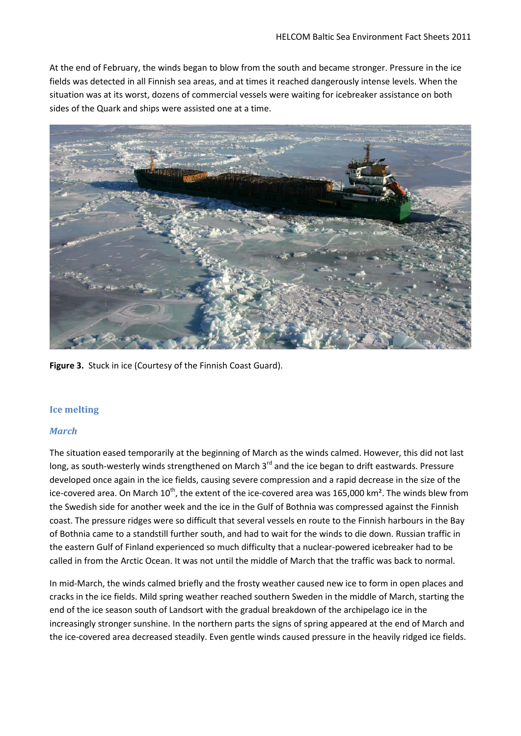At the end of February, the winds began to blow from the south and became stronger. Pressure in the ice fields was detected in all Finnish sea areas, and at times it reached dangerously intense levels. When the situation was at its worst, dozens of commercial vessels were waiting for icebreaker assistance on both sides of the Quark and ships were assisted one at a time.



**Figure 3.** Stuck in ice (Courtesy of the Finnish Coast Guard).

#### **Ice melting**

#### *March*

The situation eased temporarily at the beginning of March as the winds calmed. However, this did not last long, as south-westerly winds strengthened on March 3<sup>rd</sup> and the ice began to drift eastwards. Pressure developed once again in the ice fields, causing severe compression and a rapid decrease in the size of the ice-covered area. On March  $10^{th}$ , the extent of the ice-covered area was 165,000 km<sup>2</sup>. The winds blew from the Swedish side for another week and the ice in the Gulf of Bothnia was compressed against the Finnish coast. The pressure ridges were so difficult that several vessels en route to the Finnish harbours in the Bay of Bothnia came to a standstill further south, and had to wait for the winds to die down. Russian traffic in the eastern Gulf of Finland experienced so much difficulty that a nuclear-powered icebreaker had to be called in from the Arctic Ocean. It was not until the middle of March that the traffic was back to normal.

In mid-March, the winds calmed briefly and the frosty weather caused new ice to form in open places and cracks in the ice fields. Mild spring weather reached southern Sweden in the middle of March, starting the end of the ice season south of Landsort with the gradual breakdown of the archipelago ice in the increasingly stronger sunshine. In the northern parts the signs of spring appeared at the end of March and the ice-covered area decreased steadily. Even gentle winds caused pressure in the heavily ridged ice fields.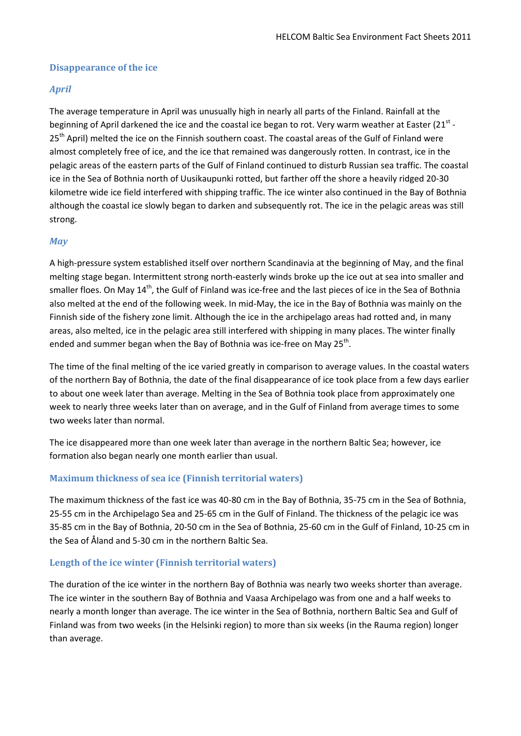#### **Disappearance of the ice**

#### *April*

The average temperature in April was unusually high in nearly all parts of the Finland. Rainfall at the beginning of April darkened the ice and the coastal ice began to rot. Very warm weather at Easter (21<sup>st</sup> -25<sup>th</sup> April) melted the ice on the Finnish southern coast. The coastal areas of the Gulf of Finland were almost completely free of ice, and the ice that remained was dangerously rotten. In contrast, ice in the pelagic areas of the eastern parts of the Gulf of Finland continued to disturb Russian sea traffic. The coastal ice in the Sea of Bothnia north of Uusikaupunki rotted, but farther off the shore a heavily ridged 20-30 kilometre wide ice field interfered with shipping traffic. The ice winter also continued in the Bay of Bothnia although the coastal ice slowly began to darken and subsequently rot. The ice in the pelagic areas was still strong.

#### *May*

A high-pressure system established itself over northern Scandinavia at the beginning of May, and the final melting stage began. Intermittent strong north-easterly winds broke up the ice out at sea into smaller and smaller floes. On May 14<sup>th</sup>, the Gulf of Finland was ice-free and the last pieces of ice in the Sea of Bothnia also melted at the end of the following week. In mid-May, the ice in the Bay of Bothnia was mainly on the Finnish side of the fishery zone limit. Although the ice in the archipelago areas had rotted and, in many areas, also melted, ice in the pelagic area still interfered with shipping in many places. The winter finally ended and summer began when the Bay of Bothnia was ice-free on May 25<sup>th</sup>.

The time of the final melting of the ice varied greatly in comparison to average values. In the coastal waters of the northern Bay of Bothnia, the date of the final disappearance of ice took place from a few days earlier to about one week later than average. Melting in the Sea of Bothnia took place from approximately one week to nearly three weeks later than on average, and in the Gulf of Finland from average times to some two weeks later than normal.

The ice disappeared more than one week later than average in the northern Baltic Sea; however, ice formation also began nearly one month earlier than usual.

#### **Maximum thickness of sea ice (Finnish territorial waters)**

The maximum thickness of the fast ice was 40-80 cm in the Bay of Bothnia, 35-75 cm in the Sea of Bothnia, 25-55 cm in the Archipelago Sea and 25-65 cm in the Gulf of Finland. The thickness of the pelagic ice was 35-85 cm in the Bay of Bothnia, 20-50 cm in the Sea of Bothnia, 25-60 cm in the Gulf of Finland, 10-25 cm in the Sea of Åland and 5-30 cm in the northern Baltic Sea.

#### **Length of the ice winter (Finnish territorial waters)**

The duration of the ice winter in the northern Bay of Bothnia was nearly two weeks shorter than average. The ice winter in the southern Bay of Bothnia and Vaasa Archipelago was from one and a half weeks to nearly a month longer than average. The ice winter in the Sea of Bothnia, northern Baltic Sea and Gulf of Finland was from two weeks (in the Helsinki region) to more than six weeks (in the Rauma region) longer than average.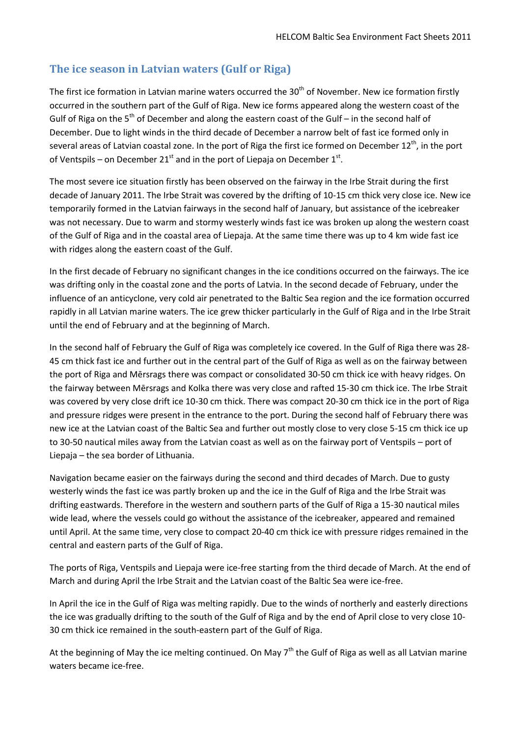# **The ice season in Latvian waters (Gulf or Riga)**

The first ice formation in Latvian marine waters occurred the 30<sup>th</sup> of November. New ice formation firstly occurred in the southern part of the Gulf of Riga. New ice forms appeared along the western coast of the Gulf of Riga on the 5<sup>th</sup> of December and along the eastern coast of the Gulf – in the second half of December. Due to light winds in the third decade of December a narrow belt of fast ice formed only in several areas of Latvian coastal zone. In the port of Riga the first ice formed on December 12<sup>th</sup>, in the port of Ventspils – on December 21<sup>st</sup> and in the port of Liepaja on December 1<sup>st</sup>.

The most severe ice situation firstly has been observed on the fairway in the Irbe Strait during the first decade of January 2011. The Irbe Strait was covered by the drifting of 10-15 cm thick very close ice. New ice temporarily formed in the Latvian fairways in the second half of January, but assistance of the icebreaker was not necessary. Due to warm and stormy westerly winds fast ice was broken up along the western coast of the Gulf of Riga and in the coastal area of Liepaja. At the same time there was up to 4 km wide fast ice with ridges along the eastern coast of the Gulf.

In the first decade of February no significant changes in the ice conditions occurred on the fairways. The ice was drifting only in the coastal zone and the ports of Latvia. In the second decade of February, under the influence of an anticyclone, very cold air penetrated to the Baltic Sea region and the ice formation occurred rapidly in all Latvian marine waters. The ice grew thicker particularly in the Gulf of Riga and in the Irbe Strait until the end of February and at the beginning of March.

In the second half of February the Gulf of Riga was completely ice covered. In the Gulf of Riga there was 28- 45 cm thick fast ice and further out in the central part of the Gulf of Riga as well as on the fairway between the port of Riga and Mērsrags there was compact or consolidated 30-50 cm thick ice with heavy ridges. On the fairway between Mērsrags and Kolka there was very close and rafted 15-30 cm thick ice. The Irbe Strait was covered by very close drift ice 10-30 cm thick. There was compact 20-30 cm thick ice in the port of Riga and pressure ridges were present in the entrance to the port. During the second half of February there was new ice at the Latvian coast of the Baltic Sea and further out mostly close to very close 5-15 cm thick ice up to 30-50 nautical miles away from the Latvian coast as well as on the fairway port of Ventspils – port of Liepaja – the sea border of Lithuania.

Navigation became easier on the fairways during the second and third decades of March. Due to gusty westerly winds the fast ice was partly broken up and the ice in the Gulf of Riga and the Irbe Strait was drifting eastwards. Therefore in the western and southern parts of the Gulf of Riga a 15-30 nautical miles wide lead, where the vessels could go without the assistance of the icebreaker, appeared and remained until April. At the same time, very close to compact 20-40 cm thick ice with pressure ridges remained in the central and eastern parts of the Gulf of Riga.

The ports of Riga, Ventspils and Liepaja were ice-free starting from the third decade of March. At the end of March and during April the Irbe Strait and the Latvian coast of the Baltic Sea were ice-free.

In April the ice in the Gulf of Riga was melting rapidly. Due to the winds of northerly and easterly directions the ice was gradually drifting to the south of the Gulf of Riga and by the end of April close to very close 10- 30 cm thick ice remained in the south-eastern part of the Gulf of Riga.

At the beginning of May the ice melting continued. On May  $7<sup>th</sup>$  the Gulf of Riga as well as all Latvian marine waters became ice-free.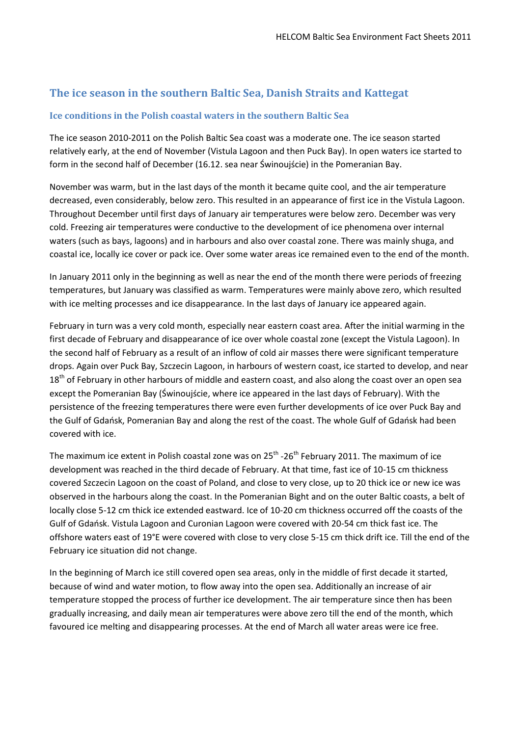# **The ice season in the southern Baltic Sea, Danish Straits and Kattegat**

#### **Ice conditions in the Polish coastal waters in the southern Baltic Sea**

The ice season 2010-2011 on the Polish Baltic Sea coast was a moderate one. The ice season started relatively early, at the end of November (Vistula Lagoon and then Puck Bay). In open waters ice started to form in the second half of December (16.12. sea near Świnoujście) in the Pomeranian Bay.

November was warm, but in the last days of the month it became quite cool, and the air temperature decreased, even considerably, below zero. This resulted in an appearance of first ice in the Vistula Lagoon. Throughout December until first days of January air temperatures were below zero. December was very cold. Freezing air temperatures were conductive to the development of ice phenomena over internal waters (such as bays, lagoons) and in harbours and also over coastal zone. There was mainly shuga, and coastal ice, locally ice cover or pack ice. Over some water areas ice remained even to the end of the month.

In January 2011 only in the beginning as well as near the end of the month there were periods of freezing temperatures, but January was classified as warm. Temperatures were mainly above zero, which resulted with ice melting processes and ice disappearance. In the last days of January ice appeared again.

February in turn was a very cold month, especially near eastern coast area. After the initial warming in the first decade of February and disappearance of ice over whole coastal zone (except the Vistula Lagoon). In the second half of February as a result of an inflow of cold air masses there were significant temperature drops. Again over Puck Bay, Szczecin Lagoon, in harbours of western coast, ice started to develop, and near 18<sup>th</sup> of February in other harbours of middle and eastern coast, and also along the coast over an open sea except the Pomeranian Bay (Świnoujście, where ice appeared in the last days of February). With the persistence of the freezing temperatures there were even further developments of ice over Puck Bay and the Gulf of Gdańsk, Pomeranian Bay and along the rest of the coast. The whole Gulf of Gdańsk had been covered with ice.

The maximum ice extent in Polish coastal zone was on  $25<sup>th</sup> - 26<sup>th</sup>$  February 2011. The maximum of ice development was reached in the third decade of February. At that time, fast ice of 10-15 cm thickness covered Szczecin Lagoon on the coast of Poland, and close to very close, up to 20 thick ice or new ice was observed in the harbours along the coast. In the Pomeranian Bight and on the outer Baltic coasts, a belt of locally close 5-12 cm thick ice extended eastward. Ice of 10-20 cm thickness occurred off the coasts of the Gulf of Gdańsk. Vistula Lagoon and Curonian Lagoon were covered with 20-54 cm thick fast ice. The offshore waters east of 19°E were covered with close to very close 5-15 cm thick drift ice. Till the end of the February ice situation did not change.

In the beginning of March ice still covered open sea areas, only in the middle of first decade it started, because of wind and water motion, to flow away into the open sea. Additionally an increase of air temperature stopped the process of further ice development. The air temperature since then has been gradually increasing, and daily mean air temperatures were above zero till the end of the month, which favoured ice melting and disappearing processes. At the end of March all water areas were ice free.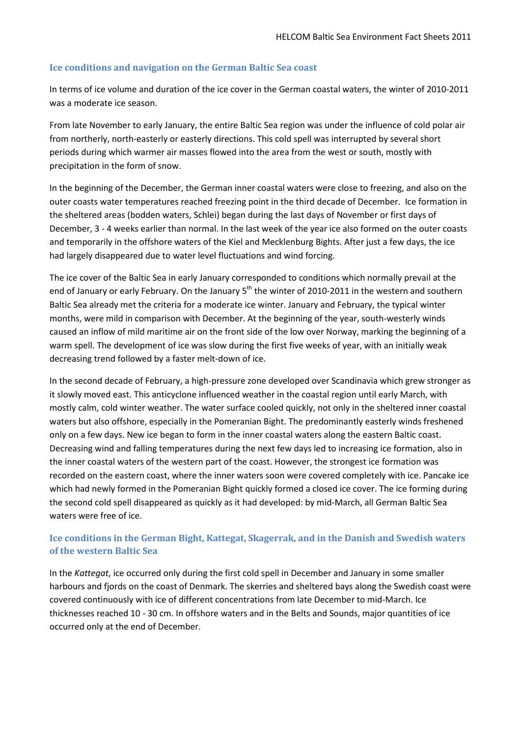#### **Ice conditions and navigation on the German Baltic Sea coast**

In terms of ice volume and duration of the ice cover in the German coastal waters, the winter of 2010-2011 was a moderate ice season.

From late November to early January, the entire Baltic Sea region was under the influence of cold polar air from northerly, north-easterly or easterly directions. This cold spell was interrupted by several short periods during which warmer air masses flowed into the area from the west or south, mostly with precipitation in the form of snow.

In the beginning of the December, the German inner coastal waters were close to freezing, and also on the outer coasts water temperatures reached freezing point in the third decade of December. Ice formation in the sheltered areas (bodden waters, Schlei) began during the last days of November or first days of December, 3 - 4 weeks earlier than normal. In the last week of the year ice also formed on the outer coasts and temporarily in the offshore waters of the Kiel and Mecklenburg Bights. After just a few days, the ice had largely disappeared due to water level fluctuations and wind forcing.

The ice cover of the Baltic Sea in early January corresponded to conditions which normally prevail at the end of January or early February. On the January 5<sup>th</sup> the winter of 2010-2011 in the western and southern Baltic Sea already met the criteria for a moderate ice winter. January and February, the typical winter months, were mild in comparison with December. At the beginning of the year, south-westerly winds caused an inflow of mild maritime air on the front side of the low over Norway, marking the beginning of a warm spell. The development of ice was slow during the first five weeks of year, with an initially weak decreasing trend followed by a faster melt-down of ice.

In the second decade of February, a high-pressure zone developed over Scandinavia which grew stronger as it slowly moved east. This anticyclone influenced weather in the coastal region until early March, with mostly calm, cold winter weather. The water surface cooled quickly, not only in the sheltered inner coastal waters but also offshore, especially in the Pomeranian Bight. The predominantly easterly winds freshened only on a few days. New ice began to form in the inner coastal waters along the eastern Baltic coast. Decreasing wind and falling temperatures during the next few days led to increasing ice formation, also in the inner coastal waters of the western part of the coast. However, the strongest ice formation was recorded on the eastern coast, where the inner waters soon were covered completely with ice. Pancake ice which had newly formed in the Pomeranian Bight quickly formed a closed ice cover. The ice forming during the second cold spell disappeared as quickly as it had developed: by mid-March, all German Baltic Sea waters were free of ice.

### **Ice conditions in the German Bight, Kattegat, Skagerrak, and in the Danish and Swedish waters of the western Baltic Sea**

In the *Kattegat*, ice occurred only during the first cold spell in December and January in some smaller harbours and fjords on the coast of Denmark. The skerries and sheltered bays along the Swedish coast were covered continuously with ice of different concentrations from late December to mid-March. Ice thicknesses reached 10 - 30 cm. In offshore waters and in the Belts and Sounds, major quantities of ice occurred only at the end of December.